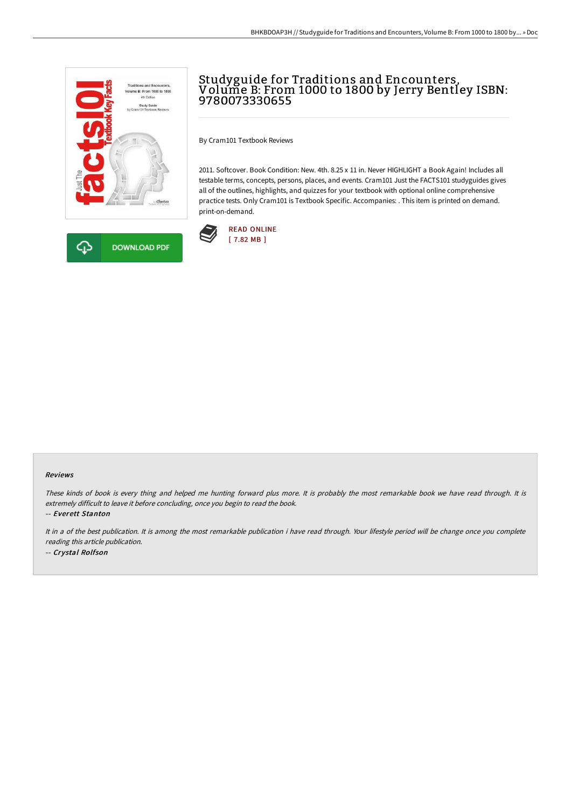



# Studyguide for Traditions and Encounters, Volume B: From 1000 to 1800 by Jerry Bentley ISBN: 9780073330655

By Cram101 Textbook Reviews

2011. Softcover. Book Condition: New. 4th. 8.25 x 11 in. Never HIGHLIGHT a Book Again! Includes all testable terms, concepts, persons, places, and events. Cram101 Just the FACTS101 studyguides gives all of the outlines, highlights, and quizzes for your textbook with optional online comprehensive practice tests. Only Cram101 is Textbook Specific. Accompanies: . This item is printed on demand. print-on-demand.



#### Reviews

These kinds of book is every thing and helped me hunting forward plus more. It is probably the most remarkable book we have read through. It is extremely difficult to leave it before concluding, once you begin to read the book.

-- Everett Stanton

It in <sup>a</sup> of the best publication. It is among the most remarkable publication i have read through. Your lifestyle period will be change once you complete reading this article publication.

-- Crystal Rolfson